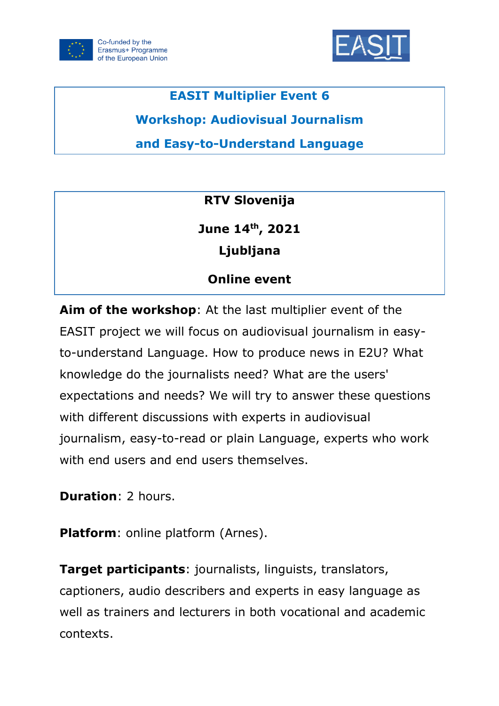



# **EASIT Multiplier Event 6**

**Workshop: Audiovisual Journalism** 

**and Easy-to-Understand Language**

**RTV Slovenija**

**June 14th , 2021 Ljubljana**

# **Online event**

**Aim of the workshop**: At the last multiplier event of the EASIT project we will focus on audiovisual journalism in easyto-understand Language. How to produce news in E2U? What knowledge do the journalists need? What are the users' expectations and needs? We will try to answer these questions with different discussions with experts in audiovisual journalism, easy-to-read or plain Language, experts who work with end users and end users themselves.

**Duration**: 2 hours.

**Platform**: online platform (Arnes).

**Target participants**: journalists, linguists, translators, captioners, audio describers and experts in easy language as well as trainers and lecturers in both vocational and academic contexts.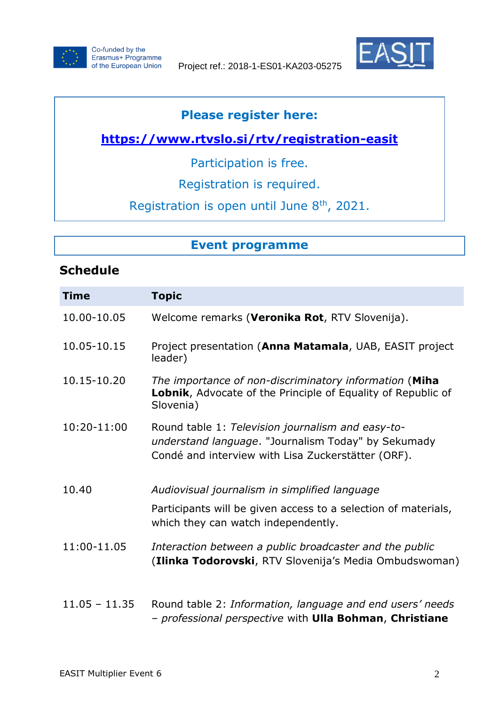



### **Please register here:**

## **<https://www.rtvslo.si/rtv/registration-easit>**

Participation is free.

Registration is required.

Registration is open until June 8<sup>th</sup>, 2021.

### **Event programme**

## **Schedule**

| <b>Time</b>     | <b>Topic</b>                                                                                                                                                   |
|-----------------|----------------------------------------------------------------------------------------------------------------------------------------------------------------|
| 10.00-10.05     | Welcome remarks (Veronika Rot, RTV Slovenija).                                                                                                                 |
| 10.05-10.15     | Project presentation (Anna Matamala, UAB, EASIT project<br>leader)                                                                                             |
| 10.15-10.20     | The importance of non-discriminatory information (Miha<br>Lobnik, Advocate of the Principle of Equality of Republic of<br>Slovenia)                            |
| 10:20-11:00     | Round table 1: Television journalism and easy-to-<br>understand language. "Journalism Today" by Sekumady<br>Condé and interview with Lisa Zuckerstätter (ORF). |
| 10.40           | Audiovisual journalism in simplified language                                                                                                                  |
|                 | Participants will be given access to a selection of materials,<br>which they can watch independently.                                                          |
| 11:00-11.05     | Interaction between a public broadcaster and the public<br>(Ilinka Todorovski, RTV Slovenija's Media Ombudswoman)                                              |
| $11.05 - 11.35$ | Round table 2: Information, language and end users' needs<br>- professional perspective with Ulla Bohman, Christiane                                           |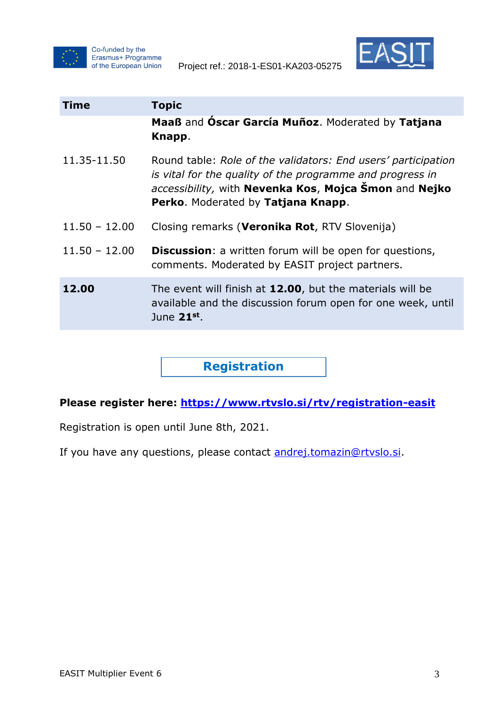



| <b>Time</b>     | <b>Topic</b>                                                                                                                                                                                                              |
|-----------------|---------------------------------------------------------------------------------------------------------------------------------------------------------------------------------------------------------------------------|
|                 | Maaß and Oscar García Muñoz. Moderated by Tatjana<br>Knapp.                                                                                                                                                               |
| 11.35-11.50     | Round table: Role of the validators: End users' participation<br>is vital for the quality of the programme and progress in<br>accessibility, with Nevenka Kos, Mojca Šmon and Nejko<br>Perko. Moderated by Tatjana Knapp. |
| $11.50 - 12.00$ | Closing remarks (Veronika Rot, RTV Slovenija)                                                                                                                                                                             |
| $11.50 - 12.00$ | <b>Discussion:</b> a written forum will be open for questions,<br>comments. Moderated by EASIT project partners.                                                                                                          |
| 12.00           | The event will finish at 12.00, but the materials will be<br>available and the discussion forum open for one week, until<br>June 21st.                                                                                    |

**Registration**

#### **Please register here: <https://www.rtvslo.si/rtv/registration-easit>**

Registration is open until June 8th, 2021.

If you have any questions, please contact [andrej.tomazin@rtvslo.si.](mailto:andrej.tomazin@rtvslo.si)